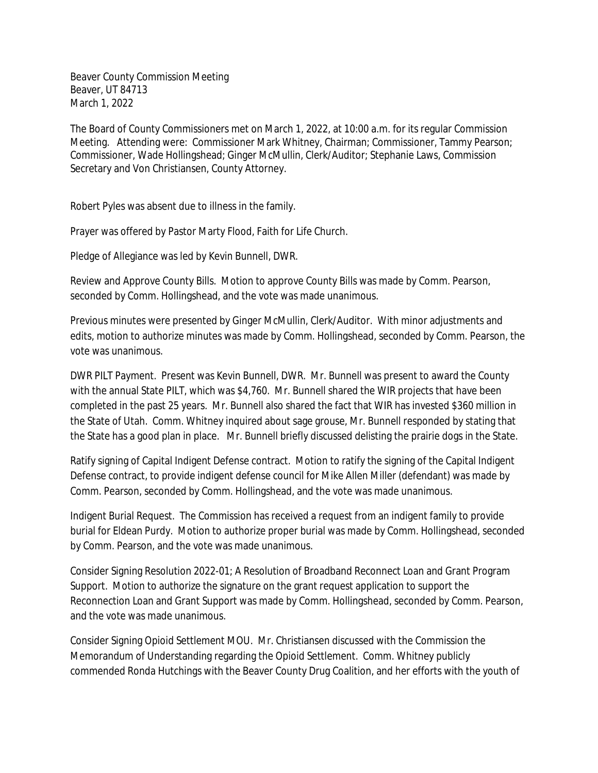Beaver County Commission Meeting Beaver, UT 84713 March 1, 2022

The Board of County Commissioners met on March 1, 2022, at 10:00 a.m. for its regular Commission Meeting. Attending were: Commissioner Mark Whitney, Chairman; Commissioner, Tammy Pearson; Commissioner, Wade Hollingshead; Ginger McMullin, Clerk/Auditor; Stephanie Laws, Commission Secretary and Von Christiansen, County Attorney.

Robert Pyles was absent due to illness in the family.

Prayer was offered by Pastor Marty Flood, Faith for Life Church.

Pledge of Allegiance was led by Kevin Bunnell, DWR.

Review and Approve County Bills. Motion to approve County Bills was made by Comm. Pearson, seconded by Comm. Hollingshead, and the vote was made unanimous.

Previous minutes were presented by Ginger McMullin, Clerk/Auditor. With minor adjustments and edits, motion to authorize minutes was made by Comm. Hollingshead, seconded by Comm. Pearson, the vote was unanimous.

DWR PILT Payment. Present was Kevin Bunnell, DWR. Mr. Bunnell was present to award the County with the annual State PILT, which was \$4,760. Mr. Bunnell shared the WIR projects that have been completed in the past 25 years. Mr. Bunnell also shared the fact that WIR has invested \$360 million in the State of Utah. Comm. Whitney inquired about sage grouse, Mr. Bunnell responded by stating that the State has a good plan in place. Mr. Bunnell briefly discussed delisting the prairie dogs in the State.

Ratify signing of Capital Indigent Defense contract. Motion to ratify the signing of the Capital Indigent Defense contract, to provide indigent defense council for Mike Allen Miller (defendant) was made by Comm. Pearson, seconded by Comm. Hollingshead, and the vote was made unanimous.

Indigent Burial Request. The Commission has received a request from an indigent family to provide burial for Eldean Purdy. Motion to authorize proper burial was made by Comm. Hollingshead, seconded by Comm. Pearson, and the vote was made unanimous.

Consider Signing Resolution 2022-01; A Resolution of Broadband Reconnect Loan and Grant Program Support. Motion to authorize the signature on the grant request application to support the Reconnection Loan and Grant Support was made by Comm. Hollingshead, seconded by Comm. Pearson, and the vote was made unanimous.

Consider Signing Opioid Settlement MOU. Mr. Christiansen discussed with the Commission the Memorandum of Understanding regarding the Opioid Settlement. Comm. Whitney publicly commended Ronda Hutchings with the Beaver County Drug Coalition, and her efforts with the youth of